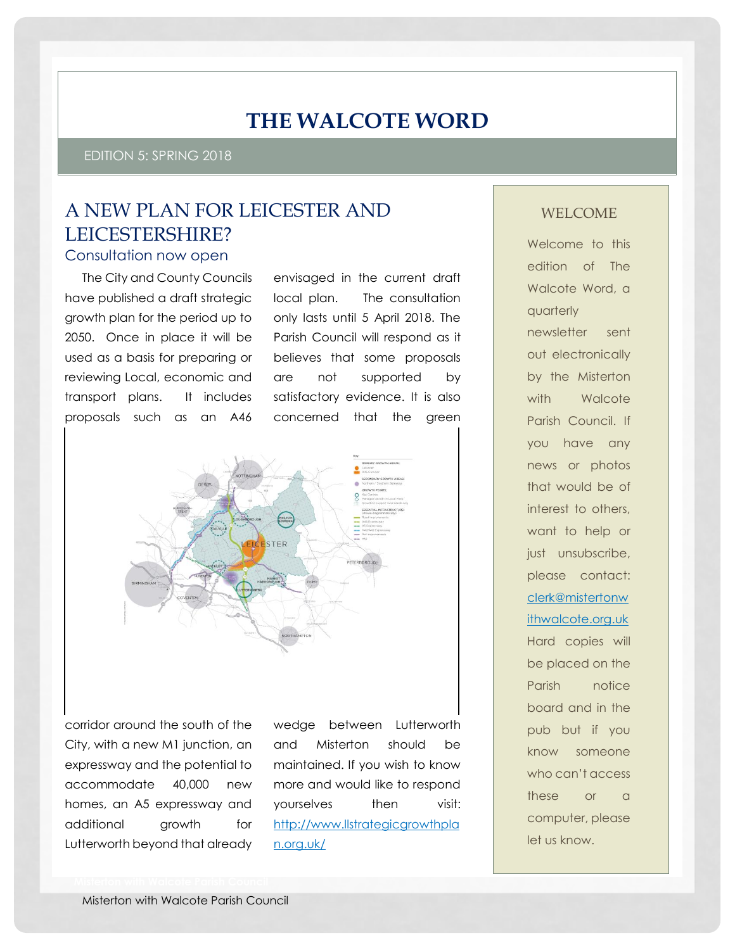# **THE WALCOTE WORD**

EDITION 5: SPRING 2018

# A NEW PLAN FOR LEICESTER AND LEICESTERSHIRE?

### Consultation now open

The City and County Councils have published a draft strategic growth plan for the period up to 2050. Once in place it will be used as a basis for preparing or reviewing Local, economic and transport plans. It includes proposals such as an A46

envisaged in the current draft local plan. The consultation only lasts until 5 April 2018. The Parish Council will respond as it believes that some proposals are not supported by satisfactory evidence. It is also concerned that the green



corridor around the south of the City, with a new M1 junction, an expressway and the potential to accommodate 40,000 new homes, an A5 expressway and additional growth for Lutterworth beyond that already

wedge between Lutterworth and Misterton should be maintained. If you wish to know more and would like to respond yourselves then visit: [http://www.llstrategicgrowthpla](http://www.llstrategicgrowthplan.org.uk/) [n.org.uk/](http://www.llstrategicgrowthplan.org.uk/)

### WELCOME

Welcome to this edition of The Walcote Word, a quarterly newsletter sent out electronically by the Misterton with Walcote Parish Council. If you have any news or photos that would be of interest to others, want to help or just unsubscribe, please contact: [clerk@mistertonw](mailto:clerk@mistertonwithwalcote.org.uk) [ithwalcote.org.uk](mailto:clerk@mistertonwithwalcote.org.uk) Hard copies will be placed on the Parish notice board and in the pub but if you know someone who can't access these or a computer, please let us know.